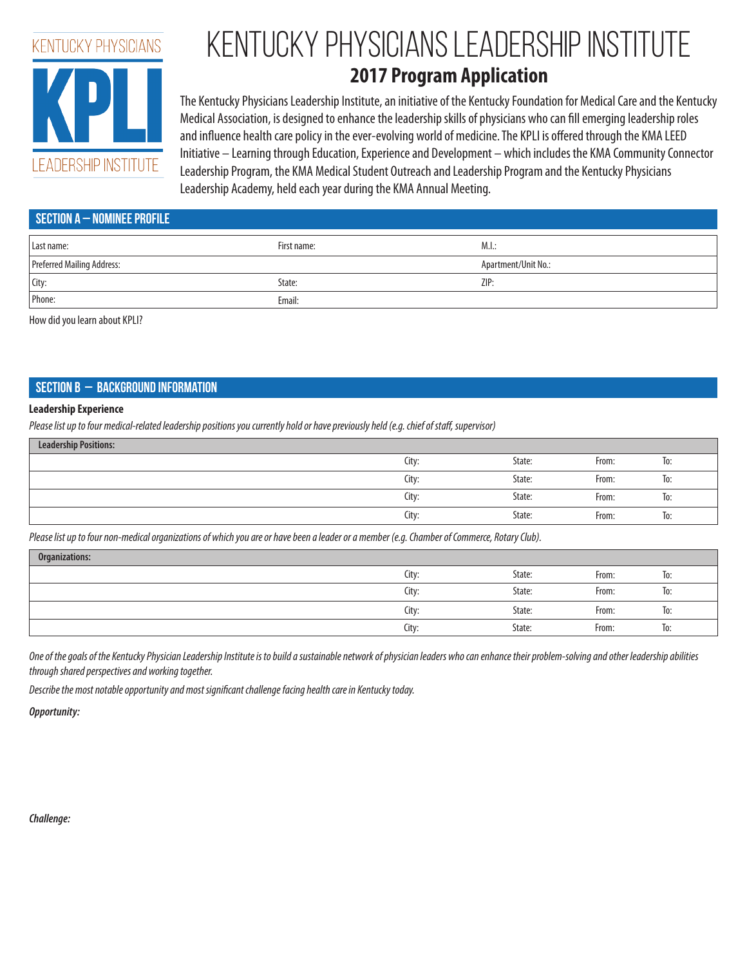

# Kentucky Physicians Leadership Institute

# **2017 Program Application**

The Kentucky Physicians Leadership Institute, an initiative of the Kentucky Foundation for Medical Care and the Kentucky Medical Association, is designed to enhance the leadership skills of physicians who can fill emerging leadership roles and influence health care policy in the ever-evolving world of medicine. The KPLI is offered through the KMA LEED Initiative – Learning through Education, Experience and Development – which includes the KMA Community Connector Leadership Program, the KMA Medical Student Outreach and Leadership Program and the Kentucky Physicians Leadership Academy, held each year during the KMA Annual Meeting.

| SECTION A $-$ nominee profile |  |  |  |  |  |
|-------------------------------|--|--|--|--|--|
| M.L.                          |  |  |  |  |  |
| Apartment/Unit No.:           |  |  |  |  |  |
| ZIP:                          |  |  |  |  |  |
|                               |  |  |  |  |  |
|                               |  |  |  |  |  |

How did you learn about KPLI?

# **Section b – Background Information**

#### **Leadership Experience**

*Please list up to four medical-related leadership positions you currently hold or have previously held (e.g. chief of staff, supervisor)*

| <b>Leadership Positions:</b> |       |        |       |     |
|------------------------------|-------|--------|-------|-----|
|                              | City: | State: | From: | To: |
|                              | City: | State: | From: | To: |
|                              | City: | State: | From: | To: |
|                              | City: | State: | From: | To: |

*Please list up to four non-medical organizations of which you are or have been a leader or a member (e.g. Chamber of Commerce, Rotary Club).*

| Organizations: |       |        |       |     |
|----------------|-------|--------|-------|-----|
|                | City: | State: | From: | lo: |
|                | City: | State: | From: | To: |
|                | City: | State: | From: | lo: |
|                | City: | State: | From: | To: |

*One of the goals of the Kentucky Physician Leadership Institute is to build a sustainable network of physician leaders who can enhance their problem-solving and other leadership abilities through shared perspectives and working together.*

*Describe the most notable opportunity and most significant challenge facing health care in Kentucky today.*

*Opportunity:*

*Challenge:*